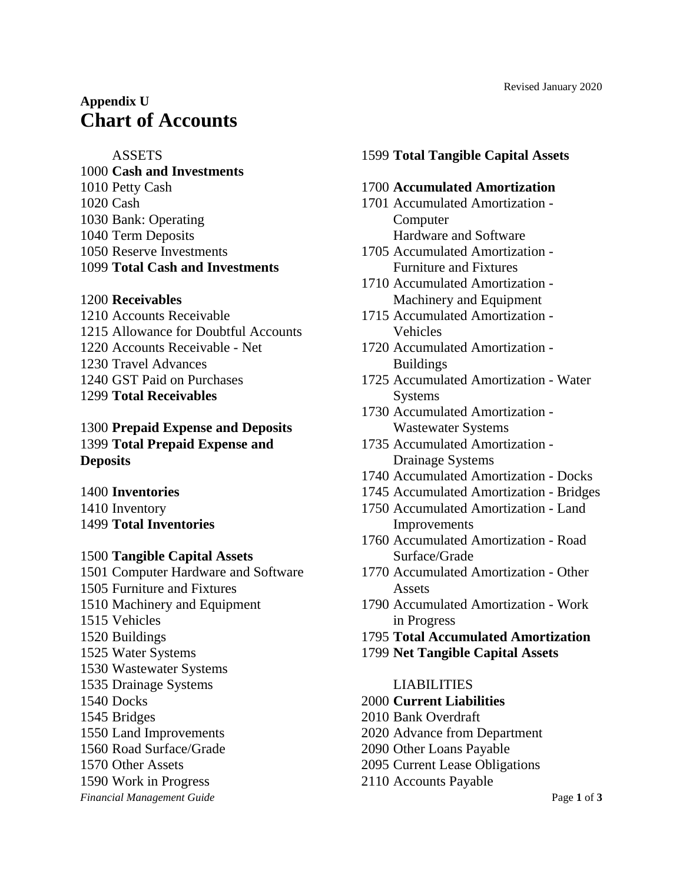## **ASSETS**

 **Cash and Investments** Petty Cash Cash Bank: Operating Term Deposits Reserve Investments **Total Cash and Investments**

# **Receivables**

 Accounts Receivable Allowance for Doubtful Accounts Accounts Receivable - Net Travel Advances GST Paid on Purchases **Total Receivables**

 **Prepaid Expense and Deposits Total Prepaid Expense and Deposits**

 **Inventories** Inventory **Total Inventories**

- **Tangible Capital Assets**
- *Financial Management Guide* Page **1** of **3** Computer Hardware and Software Furniture and Fixtures Machinery and Equipment Vehicles Buildings Water Systems Wastewater Systems Drainage Systems Docks Bridges Land Improvements Road Surface/Grade Other Assets Work in Progress

# **Total Tangible Capital Assets**

## **Accumulated Amortization**

- Accumulated Amortization Computer Hardware and Software
- Accumulated Amortization Furniture and Fixtures
- Accumulated Amortization Machinery and Equipment
- Accumulated Amortization Vehicles
- Accumulated Amortization Buildings
- Accumulated Amortization Water Systems
- Accumulated Amortization Wastewater Systems
- Accumulated Amortization Drainage Systems
- Accumulated Amortization Docks
- Accumulated Amortization Bridges
- Accumulated Amortization Land Improvements
- Accumulated Amortization Road Surface/Grade
- Accumulated Amortization Other Assets
- Accumulated Amortization Work in Progress
- **Total Accumulated Amortization**
- **Net Tangible Capital Assets**

#### LIABILITIES

- **Current Liabilities**
- Bank Overdraft
- Advance from Department
- Other Loans Payable
- Current Lease Obligations
- Accounts Payable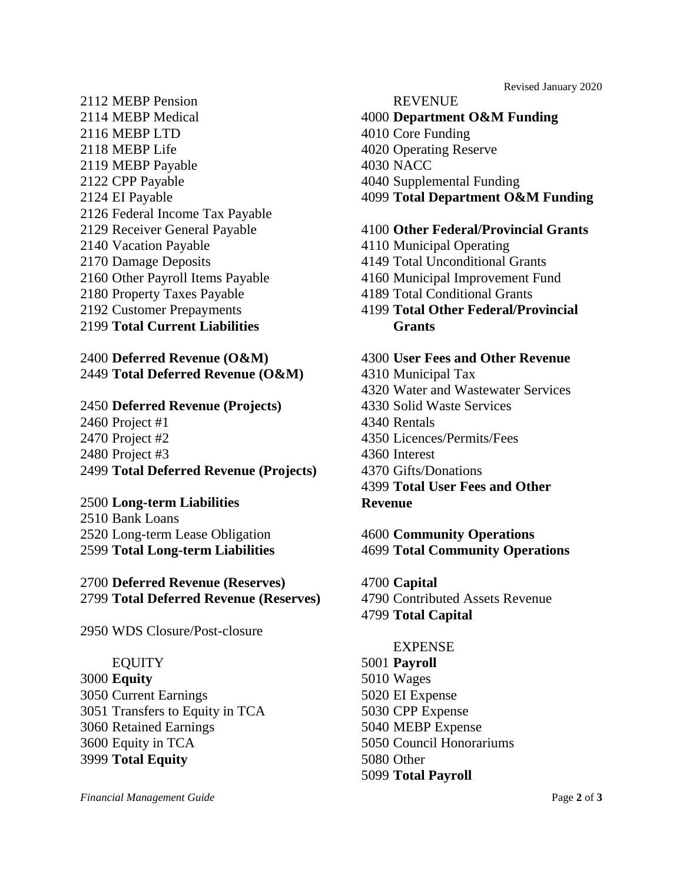- MEBP Pension MEBP Medical MEBP LTD MEBP Life MEBP Payable CPP Payable EI Payable Federal Income Tax Payable Receiver General Payable Vacation Payable Damage Deposits Other Payroll Items Payable Property Taxes Payable Customer Prepayments
- **Total Current Liabilities**

# **Deferred Revenue (O&M) Total Deferred Revenue (O&M)**

# **Deferred Revenue (Projects)** Project #1 Project #2 Project #3 **Total Deferred Revenue (Projects)**

# **Long-term Liabilities**

 Bank Loans Long-term Lease Obligation **Total Long-term Liabilities**

 **Deferred Revenue (Reserves) Total Deferred Revenue (Reserves)**

WDS Closure/Post-closure

#### EQUITY

 **Equity** Current Earnings Transfers to Equity in TCA Retained Earnings Equity in TCA **Total Equity**

# REVENUE

 **Department O&M Funding** Core Funding Operating Reserve NACC Supplemental Funding **Total Department O&M Funding**

Revised January 2020

### **Other Federal/Provincial Grants**

- Municipal Operating
- Total Unconditional Grants
- Municipal Improvement Fund
- Total Conditional Grants

 **Total Other Federal/Provincial Grants**

## **User Fees and Other Revenue**

- Municipal Tax
- Water and Wastewater Services
- Solid Waste Services
- Rentals
- Licences/Permits/Fees
- Interest
- Gifts/Donations

 **Total User Fees and Other Revenue**

 **Community Operations Total Community Operations**

 **Capital** Contributed Assets Revenue **Total Capital**

#### EXPENSE

 **Payroll** Wages EI Expense CPP Expense MEBP Expense Council Honorariums Other **Total Payroll**

*Financial Management Guide* Page **2** of **3**